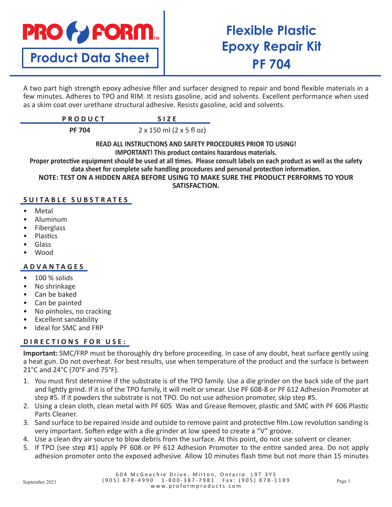# **PRO & FORM.**

**Product Data Sheet**

# **Flexible Plastic Epoxy Repair Kit PF 704**

A two part high strength epoxy adhesive filler and surfacer designed to repair and bond flexible materials in a few minutes. Adheres to TPO and RIM. It resists gasoline, acid and solvents. Excellent performance when used as a skim coat over urethane structural adhesive. Resists gasoline, acid and solvents.

| $D$ $D$ $D$ $D$ $I$ $I$ $C$ $T$<br>n u u u u i |  |
|------------------------------------------------|--|
|                                                |  |

**PF 704** 2 x 150 ml (2 x 5 fl oz)

**READ ALL INSTRUCTIONS AND SAFETY PROCEDURES PRIOR TO USING! IMPORTANT! This product contains hazardous materials.**

**Proper protective equipment should be used at all times. Please consult labels on each product as well as the safety data sheet for complete safe handling procedures and personal protection information.**

**NOTE: TEST ON A HIDDEN AREA BEFORE USING TO MAKE SURE THE PRODUCT PERFORMS TO YOUR** 

**SATISFACTION.**

# **SUITABLE SUBSTRATES**

- **Metal**
- Aluminum
- **Fiberglass**
- Plastics
- Glass
- Wood

#### **ADVANTAGES**

- 100 % solids
- No shrinkage
- Can be baked
- Can be painted
- No pinholes, no cracking
- Excellent sandability
- Ideal for SMC and FRP

### D I R E C T I O N S F O R U S E :

**Important:** SMC/FRP must be thoroughly dry before proceeding. In case of any doubt, heat surface gently using a heat gun. Do not overheat. For best results, use when temperature of the product and the surface is between 21°C and 24°C (70°F and 75°F).

- 1. You must first determine if the substrate is of the TPO family. Use a die grinder on the back side of the part and lightly grind. If it is of the TPO family, it will melt or smear. Use PF 608-8 or PF 612 Adhesion Promoter at step #5. If it powders the substrate is not TPO. Do not use adhesion promoter, skip step #5.
- 2. Using a clean cloth, clean metal with PF 605 Wax and Grease Remover, plastic and SMC with PF 606 Plastic Parts Cleaner.
- 3. Sand surface to be repaired inside and outside to remove paint and protective film.Low revolution sanding is very important. Soften edge with a die grinder at low speed to create a "V" groove.
- 4. Use a clean dry air source to blow debris from the surface. At this point, do not use solvent or cleaner.
- 5. If TPO (see step #1) apply PF 608 or PF 612 Adhesion Promoter to the entire sanded area. Do not apply adhesion promoter onto the exposed adhesive. Allow 10 minutes flash time but not more than 15 minutes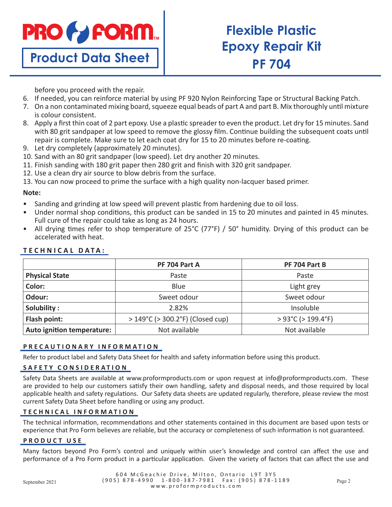

**Product Data Sheet**

# **Flexible Plastic Epoxy Repair Kit PF 704**

before you proceed with the repair.

- 6. If needed, you can reinforce material by using PF 920 Nylon Reinforcing Tape or Structural Backing Patch.
- 7. On a non contaminated mixing board, squeeze equal beads of part A and part B. Mix thoroughly until mixture is colour consistent.
- 8. Apply a first thin coat of 2 part epoxy. Use a plastic spreader to even the product. Let dry for 15 minutes. Sand with 80 grit sandpaper at low speed to remove the glossy film. Continue building the subsequent coats until repair is complete. Make sure to let each coat dry for 15 to 20 minutes before re-coating.
- 9. Let dry completely (approximately 20 minutes).
- 10. Sand with an 80 grit sandpaper (low speed). Let dry another 20 minutes.
- 11. Finish sanding with 180 grit paper then 280 grit and finish with 320 grit sandpaper.
- 12. Use a clean dry air source to blow debris from the surface.

13. You can now proceed to prime the surface with a high quality non-lacquer based primer.

#### **Note:**

- Sanding and grinding at low speed will prevent plastic from hardening due to oil loss.
- Under normal shop conditions, this product can be sanded in 15 to 20 minutes and painted in 45 minutes. Full cure of the repair could take as long as 24 hours.
- All drying times refer to shop temperature of 25°C (77°F) / 50° humidity. Drying of this product can be accelerated with heat.

|                            | PF 704 Part A                                       | PF 704 Part B                         |
|----------------------------|-----------------------------------------------------|---------------------------------------|
| <b>Physical State</b>      | Paste                                               | Paste                                 |
| Color:                     | Blue                                                | Light grey                            |
| Odour:                     | Sweet odour                                         | Sweet odour                           |
| Solubility:                | 2.82%                                               | Insoluble                             |
| Flash point:               | $>149^{\circ}$ C ( $>300.2^{\circ}$ F) (Closed cup) | $>93^{\circ}$ C ( $>199.4^{\circ}$ F) |
| Auto ignition temperature: | Not available                                       | Not available                         |

## **TECHNICAL DATA:**

### **PRECAUTIONARY INFORMATION**

Refer to product label and Safety Data Sheet for health and safety information before using this product.

#### **SAFETY CONSIDERATION**

Safety Data Sheets are available at www.proformproducts.com or upon request at info@proformproducts.com. These are provided to help our customers satisfy their own handling, safety and disposal needs, and those required by local applicable health and safety regulations. Our Safety data sheets are updated regularly, therefore, please review the most current Safety Data Sheet before handling or using any product.

### **TECHNICAL INFORMATION**

The technical information, recommendations and other statements contained in this document are based upon tests or experience that Pro Form believes are reliable, but the accuracy or completeness of such information is not guaranteed.

#### **PRODUCT USE**

Many factors beyond Pro Form's control and uniquely within user's knowledge and control can affect the use and performance of a Pro Form product in a particular application. Given the variety of factors that can affect the use and